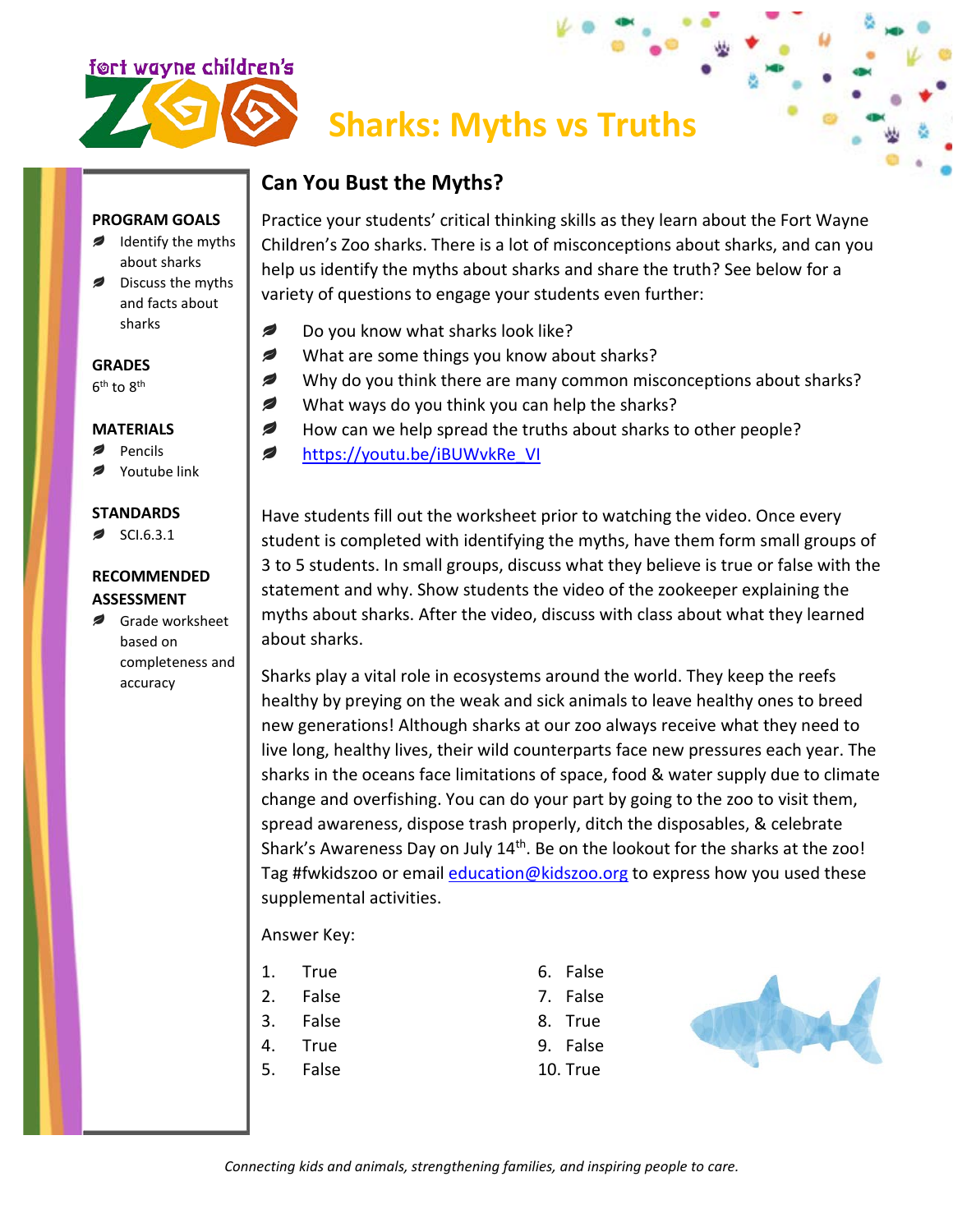

# **Sharks: Myths vs Truths**

## **Can You Bust the Myths?**

#### **PROGRAM GOALS**

- Identify the myths about sharks
- Discuss the myths ø and facts about sharks

### **GRADES**

 $6^{\text{th}}$  to  $8^{\text{th}}$ 

#### **MATERIALS**

- $\overline{\phantom{a}}$ Pencils
- Youtube link

#### **STANDARDS**

SCI.6.3.1

#### **RECOMMENDED ASSESSMENT**

Grade worksheet based on completeness and accuracy

Practice your students' critical thinking skills as they learn about the Fort Wayne Children's Zoo sharks. There is a lot of misconceptions about sharks, and can you help us identify the myths about sharks and share the truth? See below for a variety of questions to engage your students even further:

- Ø Do you know what sharks look like?
- € What are some things you know about sharks?
- Ø Why do you think there are many common misconceptions about sharks?
- Ø What ways do you think you can help the sharks?
- Ø How can we help spread the truths about sharks to other people?
- ◢ [https://youtu.be/iBUWvkRe\\_VI](https://youtu.be/iBUWvkRe_VI)

Have students fill out the worksheet prior to watching the video. Once every student is completed with identifying the myths, have them form small groups of 3 to 5 students. In small groups, discuss what they believe is true or false with the statement and why. Show students the video of the zookeeper explaining the myths about sharks. After the video, discuss with class about what they learned about sharks.

Sharks play a vital role in ecosystems around the world. They keep the reefs healthy by preying on the weak and sick animals to leave healthy ones to breed new generations! Although sharks at our zoo always receive what they need to live long, healthy lives, their wild counterparts face new pressures each year. The sharks in the oceans face limitations of space, food & water supply due to climate change and overfishing. You can do your part by going to the zoo to visit them, spread awareness, dispose trash properly, ditch the disposables, & celebrate Shark's Awareness Day on July 14<sup>th</sup>. Be on the lookout for the sharks at the zoo! Tag #fwkidszoo or email [education@kidszoo.org](mailto:education@kidszoo.org) to express how you used these supplemental activities.

#### Answer Key:

- 1. True
- 2. False
- 3. False
- 4. True
- 5. False
- 6. False 7. False
- 8. True
- 
- 9. False 10. True



*Connecting kids and animals, strengthening families, and inspiring people to care.*